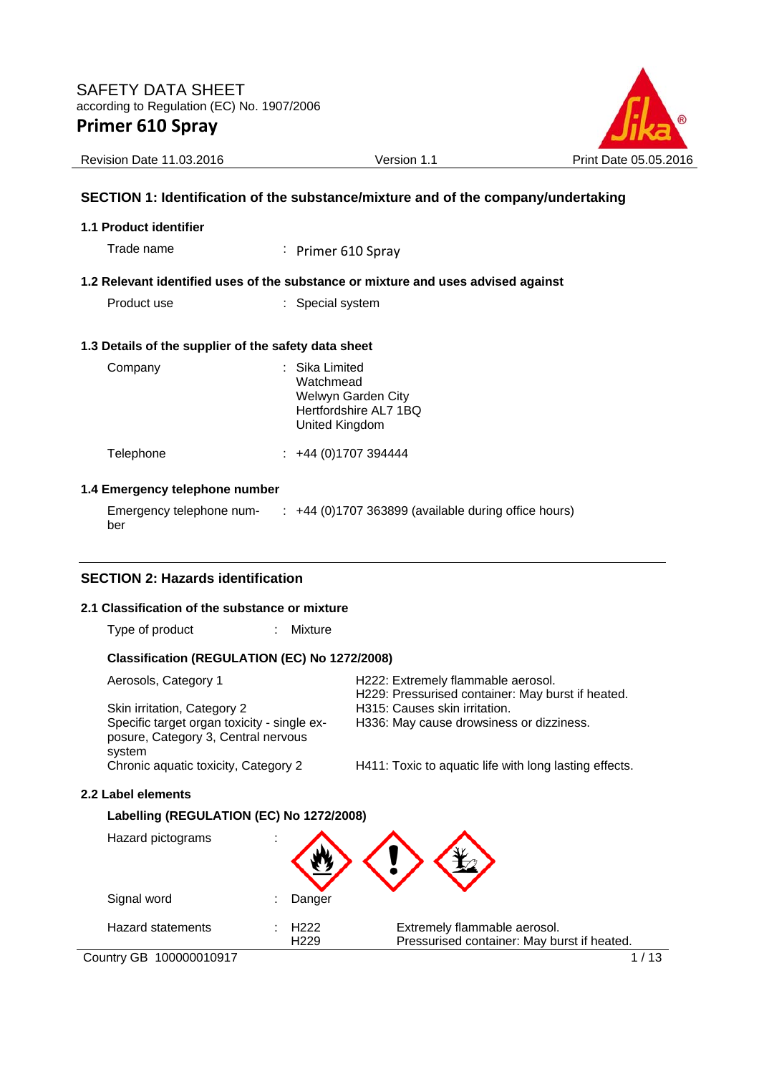

Revision Date 11.03.2016 <br>
Version 1.1 Print Date 05.05.2016

### **SECTION 1: Identification of the substance/mixture and of the company/undertaking**

#### **1.1 Product identifier**

Trade name : Primer 610 Spray

#### **1.2 Relevant identified uses of the substance or mixture and uses advised against**

Product use : Special system

#### **1.3 Details of the supplier of the safety data sheet**

| Company   | : Sika Limited<br>Watchmead<br>Welwyn Garden City<br>Hertfordshire AL7 1BQ<br>United Kingdom |  |
|-----------|----------------------------------------------------------------------------------------------|--|
| Telephone | +44 (0)1707 394444                                                                           |  |

#### **1.4 Emergency telephone number**

Emergency telephone number : +44 (0)1707 363899 (available during office hours)

### **SECTION 2: Hazards identification**

#### **2.1 Classification of the substance or mixture**

Type of product : Mixture

#### **Classification (REGULATION (EC) No 1272/2008)**

| Aerosols, Category 1                                                               | H222: Extremely flammable aerosol.<br>H229: Pressurised container: May burst if heated. |
|------------------------------------------------------------------------------------|-----------------------------------------------------------------------------------------|
| Skin irritation, Category 2                                                        | H315: Causes skin irritation.                                                           |
| Specific target organ toxicity - single ex-<br>posure, Category 3, Central nervous | H336: May cause drowsiness or dizziness.                                                |
| system                                                                             |                                                                                         |
| Chronic aquatic toxicity, Category 2                                               | H411: Toxic to aquatic life with long lasting effects.                                  |

#### **2.2 Label elements**

#### **Labelling (REGULATION (EC) No 1272/2008)**

| Hazard pictograms        | ٠ |                                      |                                                                             |
|--------------------------|---|--------------------------------------|-----------------------------------------------------------------------------|
| Signal word              |   | Danger                               |                                                                             |
| <b>Hazard statements</b> |   | H <sub>222</sub><br>H <sub>229</sub> | Extremely flammable aerosol.<br>Pressurised container: May burst if heated. |
| Country GB 100000010917  |   |                                      |                                                                             |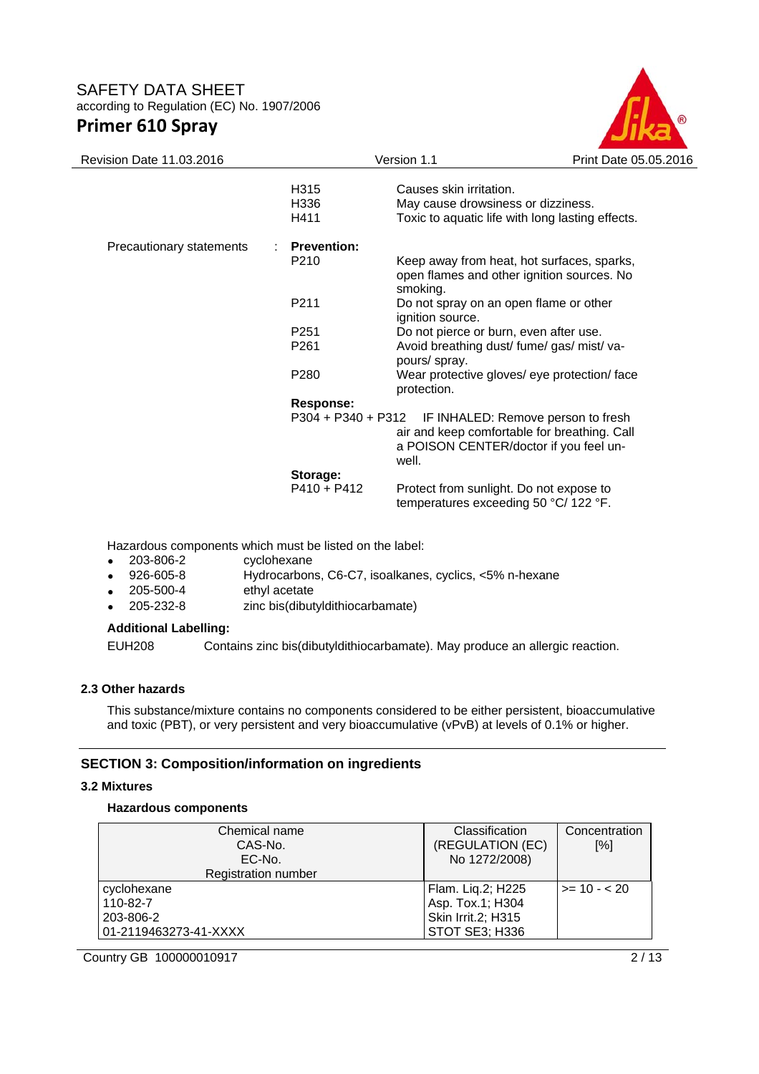

| Revision Date 11.03.2016 |                           | Version 1.1                                                                                                                           | Print Date 05.05.2016 |
|--------------------------|---------------------------|---------------------------------------------------------------------------------------------------------------------------------------|-----------------------|
|                          | H315<br>H336<br>H411      | Causes skin irritation.<br>May cause drowsiness or dizziness.<br>Toxic to aquatic life with long lasting effects.                     |                       |
| Precautionary statements | <b>Prevention:</b>        |                                                                                                                                       |                       |
|                          | P <sub>210</sub>          | Keep away from heat, hot surfaces, sparks,<br>open flames and other ignition sources. No<br>smoking.                                  |                       |
|                          | P211                      | Do not spray on an open flame or other<br>ignition source.                                                                            |                       |
|                          | P <sub>251</sub>          | Do not pierce or burn, even after use.                                                                                                |                       |
|                          | P <sub>261</sub>          | Avoid breathing dust/ fume/ gas/ mist/ va-<br>pours/ spray.                                                                           |                       |
|                          | P <sub>280</sub>          | Wear protective gloves/ eye protection/ face<br>protection.                                                                           |                       |
|                          | <b>Response:</b>          |                                                                                                                                       |                       |
|                          | $P304 + P340 + P312$      | IF INHALED: Remove person to fresh<br>air and keep comfortable for breathing. Call<br>a POISON CENTER/doctor if you feel un-<br>well. |                       |
|                          | Storage:<br>$P410 + P412$ | Protect from sunlight. Do not expose to<br>temperatures exceeding 50 °C/ 122 °F.                                                      |                       |

Hazardous components which must be listed on the label:

- 203-806-2 cyclohexane
- 926-605-8 Hydrocarbons, C6-C7, isoalkanes, cyclics, <5% n-hexane
- 205-500-4 ethyl acetate
- 205-232-8 zinc bis(dibutyldithiocarbamate)

#### **Additional Labelling:**

EUH208 Contains zinc bis(dibutyldithiocarbamate). May produce an allergic reaction.

### **2.3 Other hazards**

This substance/mixture contains no components considered to be either persistent, bioaccumulative and toxic (PBT), or very persistent and very bioaccumulative (vPvB) at levels of 0.1% or higher.

#### **SECTION 3: Composition/information on ingredients**

#### **3.2 Mixtures**

#### **Hazardous components**

| Chemical name<br>CAS-No.<br>EC-No.<br>Registration number     | Classification<br>(REGULATION (EC)<br>No 1272/2008)                           | Concentration<br>[%] |
|---------------------------------------------------------------|-------------------------------------------------------------------------------|----------------------|
| cyclohexane<br>110-82-7<br>203-806-2<br>01-2119463273-41-XXXX | Flam. Liq.2; H225<br>Asp. Tox.1; H304<br>Skin Irrit.2; H315<br>STOT SE3; H336 | $>= 10 - 20$         |

Country GB 100000010917 2/13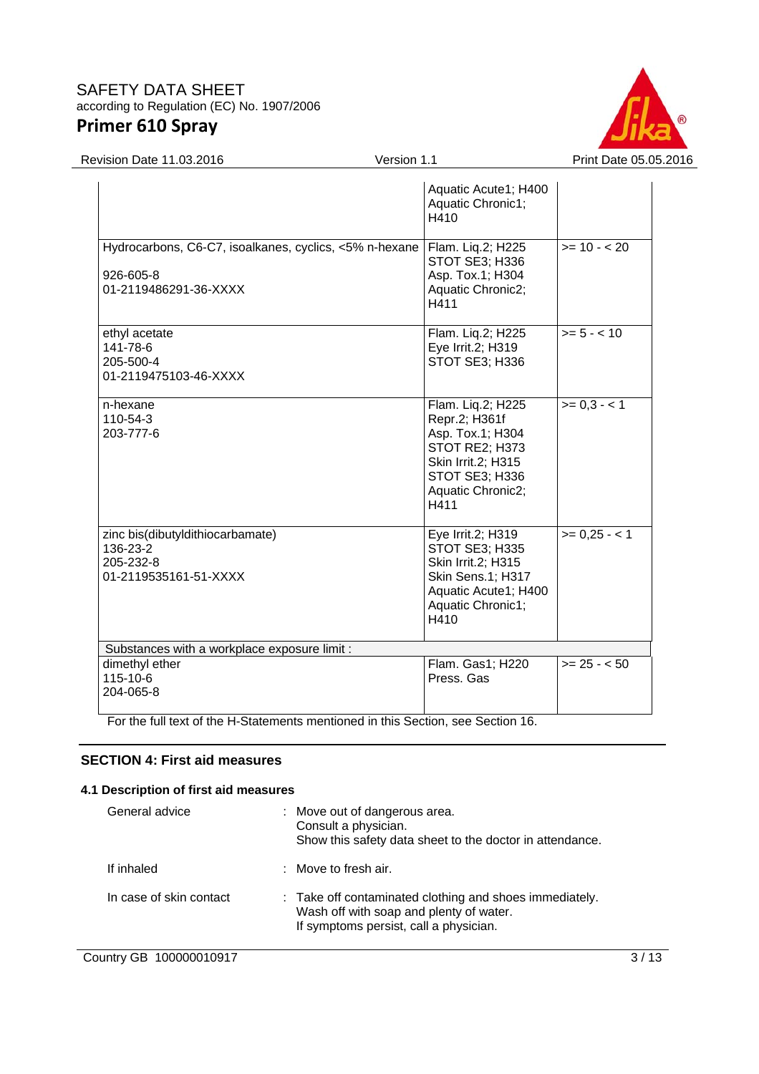

Revision Date 11.03.2016 **Version 1.1** Version 1.1 Print Date 05.05.2016

|                                                                                                                  | Aquatic Acute1; H400<br>Aquatic Chronic1;<br>H410                                                                                                    |               |
|------------------------------------------------------------------------------------------------------------------|------------------------------------------------------------------------------------------------------------------------------------------------------|---------------|
| Hydrocarbons, C6-C7, isoalkanes, cyclics, <5% n-hexane   Flam. Liq.2; H225<br>926-605-8<br>01-2119486291-36-XXXX | STOT SE3; H336<br>Asp. Tox.1; H304<br>Aquatic Chronic2;<br>H411                                                                                      | $>= 10 - 20$  |
| ethyl acetate<br>141-78-6<br>205-500-4<br>01-2119475103-46-XXXX                                                  | Flam. Liq.2; H225<br>Eye Irrit.2; H319<br>STOT SE3; H336                                                                                             | $>= 5 - <10$  |
| n-hexane<br>110-54-3<br>203-777-6                                                                                | Flam. Liq.2; H225<br>Repr.2; H361f<br>Asp. Tox.1; H304<br>STOT RE2; H373<br><b>Skin Irrit.2; H315</b><br>STOT SE3; H336<br>Aquatic Chronic2;<br>H411 | $>= 0.3 - 1$  |
| zinc bis(dibutyldithiocarbamate)<br>136-23-2<br>205-232-8<br>01-2119535161-51-XXXX                               | Eye Irrit.2; H319<br>STOT SE3; H335<br><b>Skin Irrit.2; H315</b><br>Skin Sens.1; H317<br>Aquatic Acute1; H400<br>Aquatic Chronic1;<br>H410           | $>= 0.25 - 1$ |
| Substances with a workplace exposure limit :                                                                     |                                                                                                                                                      |               |
| dimethyl ether<br>$115 - 10 - 6$<br>204-065-8                                                                    | Flam. Gas1; H220<br>Press, Gas                                                                                                                       | $>= 25 - 50$  |

For the full text of the H-Statements mentioned in this Section, see Section 16.

### **SECTION 4: First aid measures**

### **4.1 Description of first aid measures**

| General advice          | : Move out of dangerous area.<br>Consult a physician.<br>Show this safety data sheet to the doctor in attendance.                            |
|-------------------------|----------------------------------------------------------------------------------------------------------------------------------------------|
| If inhaled              | $:$ Move to fresh air.                                                                                                                       |
| In case of skin contact | : Take off contaminated clothing and shoes immediately.<br>Wash off with soap and plenty of water.<br>If symptoms persist, call a physician. |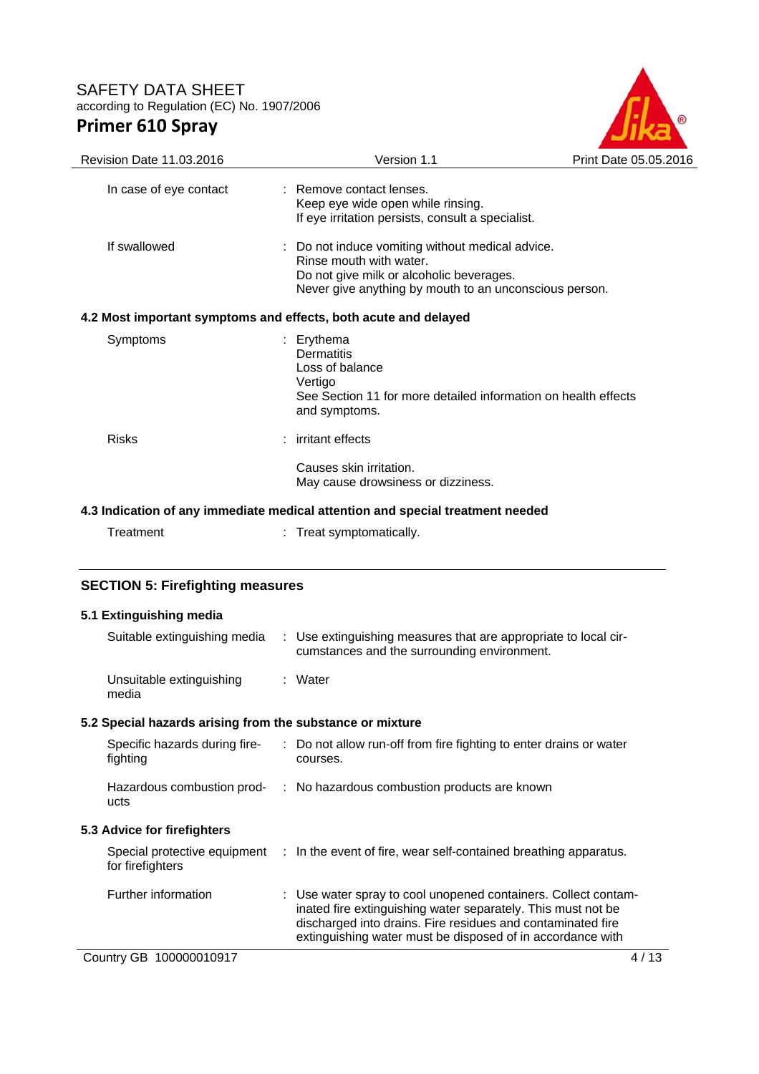

| Revision Date 11.03.2016                                                                                                       | Version 1.1                                                                                                                                                                     | Print Date 05.05.2016 |
|--------------------------------------------------------------------------------------------------------------------------------|---------------------------------------------------------------------------------------------------------------------------------------------------------------------------------|-----------------------|
| In case of eye contact                                                                                                         | : Remove contact lenses.<br>Keep eye wide open while rinsing.<br>If eye irritation persists, consult a specialist.                                                              |                       |
| If swallowed                                                                                                                   | Do not induce vomiting without medical advice.<br>Rinse mouth with water.<br>Do not give milk or alcoholic beverages.<br>Never give anything by mouth to an unconscious person. |                       |
| 4.2 Most important symptoms and effects, both acute and delayed                                                                |                                                                                                                                                                                 |                       |
| Symptoms                                                                                                                       | : Erythema<br><b>Dermatitis</b><br>Loss of balance<br>Vertigo<br>See Section 11 for more detailed information on health effects<br>and symptoms.                                |                       |
| <b>Risks</b>                                                                                                                   | irritant effects                                                                                                                                                                |                       |
|                                                                                                                                | Causes skin irritation.<br>May cause drowsiness or dizziness.                                                                                                                   |                       |
|                                                                                                                                | 4.3 Indication of any immediate medical attention and special treatment needed                                                                                                  |                       |
| Treatment                                                                                                                      | : Treat symptomatically.                                                                                                                                                        |                       |
| <b>SECTION 5: Firefighting measures</b>                                                                                        |                                                                                                                                                                                 |                       |
| 5.1 Extinguishing media                                                                                                        |                                                                                                                                                                                 |                       |
| Suitable extinguishing media                                                                                                   | : Use extinguishing measures that are appropriate to local cir-<br>cumstances and the surrounding environment.                                                                  |                       |
| Unsuitable extinguishing<br>media                                                                                              | : Water                                                                                                                                                                         |                       |
| $\mathbf{r}$ , and $\mathbf{r}$ , and $\mathbf{r}$ , and $\mathbf{r}$ , and $\mathbf{r}$ , and $\mathbf{r}$ , and $\mathbf{r}$ |                                                                                                                                                                                 |                       |

# **5.2 Special hazards arising from the substance or mixture**

| Specific hazards during fire-<br>fighting        | : Do not allow run-off from fire fighting to enter drains or water<br>courses.                                                                                                                                                                              |
|--------------------------------------------------|-------------------------------------------------------------------------------------------------------------------------------------------------------------------------------------------------------------------------------------------------------------|
| Hazardous combustion prod-<br>ucts               | : No hazardous combustion products are known                                                                                                                                                                                                                |
| 5.3 Advice for firefighters                      |                                                                                                                                                                                                                                                             |
| Special protective equipment<br>for firefighters | $\therefore$ In the event of fire, wear self-contained breathing apparatus.                                                                                                                                                                                 |
| Further information                              | : Use water spray to cool unopened containers. Collect contam-<br>inated fire extinguishing water separately. This must not be<br>discharged into drains. Fire residues and contaminated fire<br>extinguishing water must be disposed of in accordance with |
| Country GB<br>100000010917                       | 4 / 13                                                                                                                                                                                                                                                      |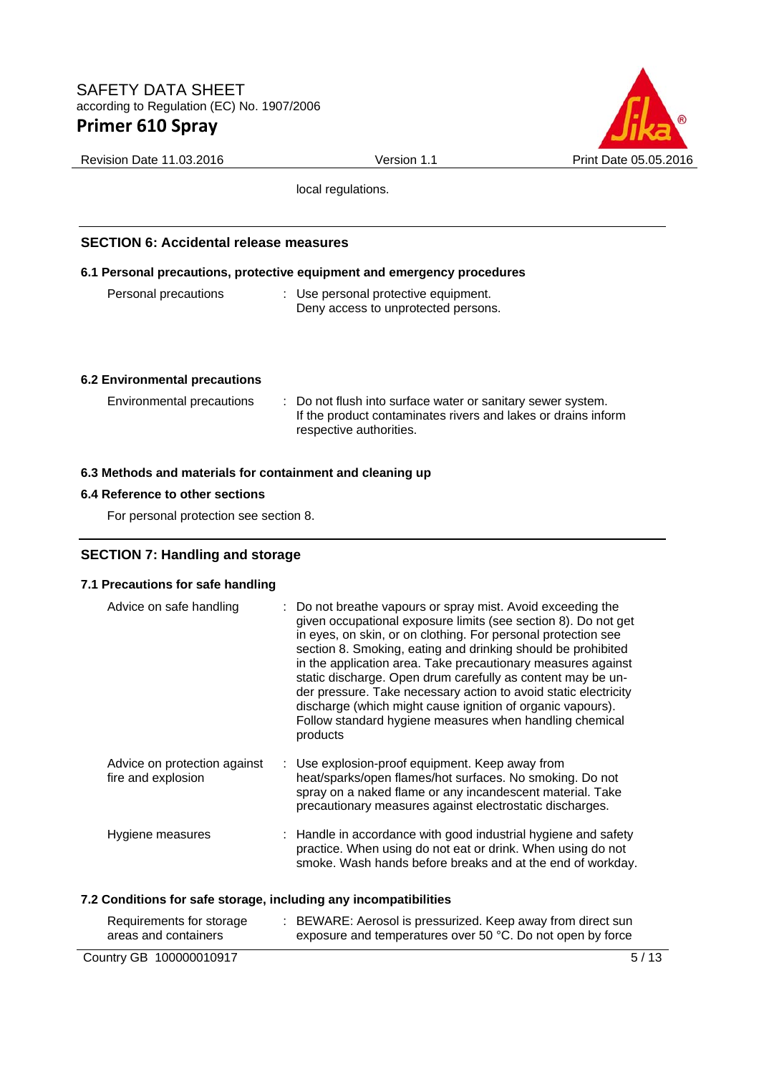

Revision Date 11.03.2016 **Version 1.1** Version 1.1 Print Date 05.05.2016

local regulations.

### **SECTION 6: Accidental release measures**

#### **6.1 Personal precautions, protective equipment and emergency procedures**

| Personal precautions | : Use personal protective equipment. |
|----------------------|--------------------------------------|
|                      | Deny access to unprotected persons.  |

#### **6.2 Environmental precautions**

| Environmental precautions | : Do not flush into surface water or sanitary sewer system.<br>If the product contaminates rivers and lakes or drains inform<br>respective authorities. |
|---------------------------|---------------------------------------------------------------------------------------------------------------------------------------------------------|
|---------------------------|---------------------------------------------------------------------------------------------------------------------------------------------------------|

#### **6.3 Methods and materials for containment and cleaning up**

#### **6.4 Reference to other sections**

For personal protection see section 8.

#### **SECTION 7: Handling and storage**

### **7.1 Precautions for safe handling**

| Advice on safe handling                            | : Do not breathe vapours or spray mist. Avoid exceeding the<br>given occupational exposure limits (see section 8). Do not get<br>in eyes, on skin, or on clothing. For personal protection see<br>section 8. Smoking, eating and drinking should be prohibited<br>in the application area. Take precautionary measures against<br>static discharge. Open drum carefully as content may be un-<br>der pressure. Take necessary action to avoid static electricity<br>discharge (which might cause ignition of organic vapours).<br>Follow standard hygiene measures when handling chemical<br>products |
|----------------------------------------------------|-------------------------------------------------------------------------------------------------------------------------------------------------------------------------------------------------------------------------------------------------------------------------------------------------------------------------------------------------------------------------------------------------------------------------------------------------------------------------------------------------------------------------------------------------------------------------------------------------------|
| Advice on protection against<br>fire and explosion | : Use explosion-proof equipment. Keep away from<br>heat/sparks/open flames/hot surfaces. No smoking. Do not<br>spray on a naked flame or any incandescent material. Take<br>precautionary measures against electrostatic discharges.                                                                                                                                                                                                                                                                                                                                                                  |
| Hygiene measures                                   | : Handle in accordance with good industrial hygiene and safety<br>practice. When using do not eat or drink. When using do not<br>smoke. Wash hands before breaks and at the end of workday.                                                                                                                                                                                                                                                                                                                                                                                                           |

#### **7.2 Conditions for safe storage, including any incompatibilities**

| Requirements for storage<br>areas and containers | BEWARE: Aerosol is pressurized. Keep away from direct sun<br>exposure and temperatures over 50 °C. Do not open by force |      |
|--------------------------------------------------|-------------------------------------------------------------------------------------------------------------------------|------|
| Country GB 100000010917                          |                                                                                                                         | 5/13 |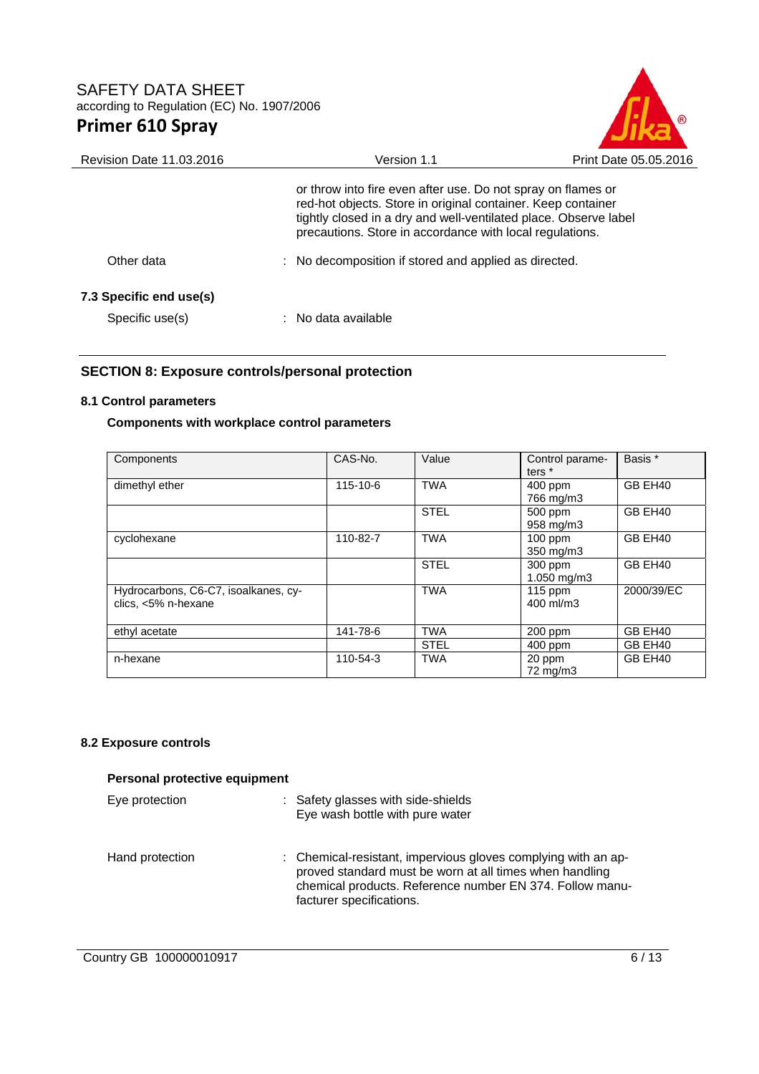

| Version 1.1                                                                                                                                                                                                                                                  | Print Date 05.05.2016 |
|--------------------------------------------------------------------------------------------------------------------------------------------------------------------------------------------------------------------------------------------------------------|-----------------------|
| or throw into fire even after use. Do not spray on flames or<br>red-hot objects. Store in original container. Keep container<br>tightly closed in a dry and well-ventilated place. Observe label<br>precautions. Store in accordance with local regulations. |                       |
| : No decomposition if stored and applied as directed.                                                                                                                                                                                                        |                       |
| $:$ No data available                                                                                                                                                                                                                                        |                       |
|                                                                                                                                                                                                                                                              |                       |

### **SECTION 8: Exposure controls/personal protection**

#### **8.1 Control parameters**

### **Components with workplace control parameters**

| Components                                                  | CAS-No.  | Value       | Control parame-<br>ters <sup>*</sup> | Basis *    |
|-------------------------------------------------------------|----------|-------------|--------------------------------------|------------|
| dimethyl ether                                              | 115-10-6 | <b>TWA</b>  | 400 ppm<br>766 mg/m3                 | GB EH40    |
|                                                             |          | <b>STEL</b> | 500 ppm<br>958 mg/m3                 | GB EH40    |
| cyclohexane                                                 | 110-82-7 | <b>TWA</b>  | $100$ ppm<br>$350$ mg/m $3$          | GB EH40    |
|                                                             |          | <b>STEL</b> | 300 ppm<br>$1.050$ mg/m $3$          | GB EH40    |
| Hydrocarbons, C6-C7, isoalkanes, cy-<br>clics, <5% n-hexane |          | <b>TWA</b>  | $115$ ppm<br>400 ml/m3               | 2000/39/EC |
| ethyl acetate                                               | 141-78-6 | <b>TWA</b>  | 200 ppm                              | GB EH40    |
|                                                             |          | <b>STEL</b> | 400 ppm                              | GB EH40    |
| n-hexane                                                    | 110-54-3 | <b>TWA</b>  | 20 ppm<br>72 mg/m3                   | GB EH40    |

#### **8.2 Exposure controls**

| Personal protective equipment |  |                                                                                                                                                                                                                  |
|-------------------------------|--|------------------------------------------------------------------------------------------------------------------------------------------------------------------------------------------------------------------|
| Eye protection                |  | : Safety glasses with side-shields<br>Eye wash bottle with pure water                                                                                                                                            |
| Hand protection               |  | : Chemical-resistant, impervious gloves complying with an ap-<br>proved standard must be worn at all times when handling<br>chemical products. Reference number EN 374. Follow manu-<br>facturer specifications. |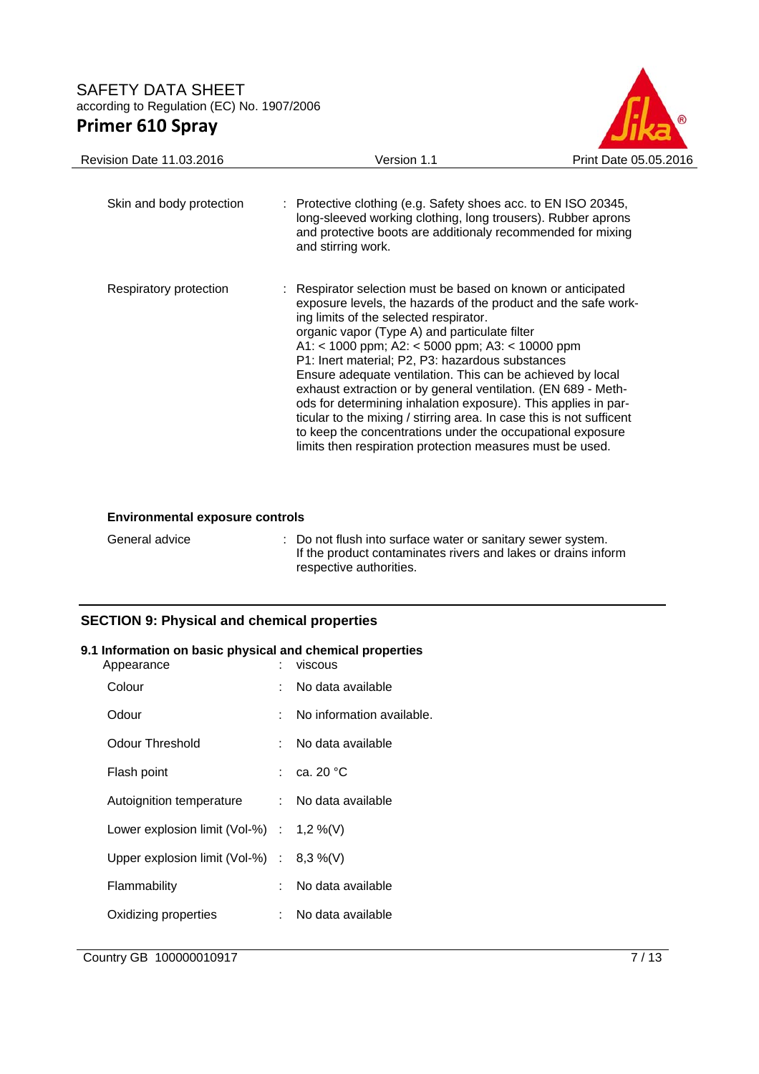

| <b>Revision Date 11.03.2016</b> | Version 1.1                                                                                                                                                                                                                                                                                                                                                                                                                                                                                                                                                                                                                                                                                                                          | Print Date 05.05.2016 |
|---------------------------------|--------------------------------------------------------------------------------------------------------------------------------------------------------------------------------------------------------------------------------------------------------------------------------------------------------------------------------------------------------------------------------------------------------------------------------------------------------------------------------------------------------------------------------------------------------------------------------------------------------------------------------------------------------------------------------------------------------------------------------------|-----------------------|
| Skin and body protection        | : Protective clothing (e.g. Safety shoes acc. to EN ISO 20345,<br>long-sleeved working clothing, long trousers). Rubber aprons<br>and protective boots are additionaly recommended for mixing<br>and stirring work.                                                                                                                                                                                                                                                                                                                                                                                                                                                                                                                  |                       |
| Respiratory protection          | : Respirator selection must be based on known or anticipated<br>exposure levels, the hazards of the product and the safe work-<br>ing limits of the selected respirator.<br>organic vapor (Type A) and particulate filter<br>A1: < 1000 ppm; A2: < 5000 ppm; A3: < 10000 ppm<br>P1: Inert material; P2, P3: hazardous substances<br>Ensure adequate ventilation. This can be achieved by local<br>exhaust extraction or by general ventilation. (EN 689 - Meth-<br>ods for determining inhalation exposure). This applies in par-<br>ticular to the mixing / stirring area. In case this is not sufficent<br>to keep the concentrations under the occupational exposure<br>limits then respiration protection measures must be used. |                       |

#### **Environmental exposure controls**

| General advice | : Do not flush into surface water or sanitary sewer system.<br>If the product contaminates rivers and lakes or drains inform |
|----------------|------------------------------------------------------------------------------------------------------------------------------|
|                | respective authorities.                                                                                                      |

## **SECTION 9: Physical and chemical properties**

#### **9.1 Information on basic physical and chemical properties**

| Appearance                                  |    | viscous                   |
|---------------------------------------------|----|---------------------------|
| Colour                                      |    | No data available         |
| Odour                                       |    | No information available. |
| <b>Odour Threshold</b>                      | t. | No data available         |
| Flash point                                 |    | : ca. 20 $^{\circ}$ C     |
| Autoignition temperature                    |    | : No data available       |
| Lower explosion limit (Vol-%) : $1,2\%$ (V) |    |                           |
| Upper explosion limit (Vol-%) : $8,3\%$ (V) |    |                           |
| Flammability                                |    | No data available         |
| Oxidizing properties                        | t. | No data available         |
|                                             |    |                           |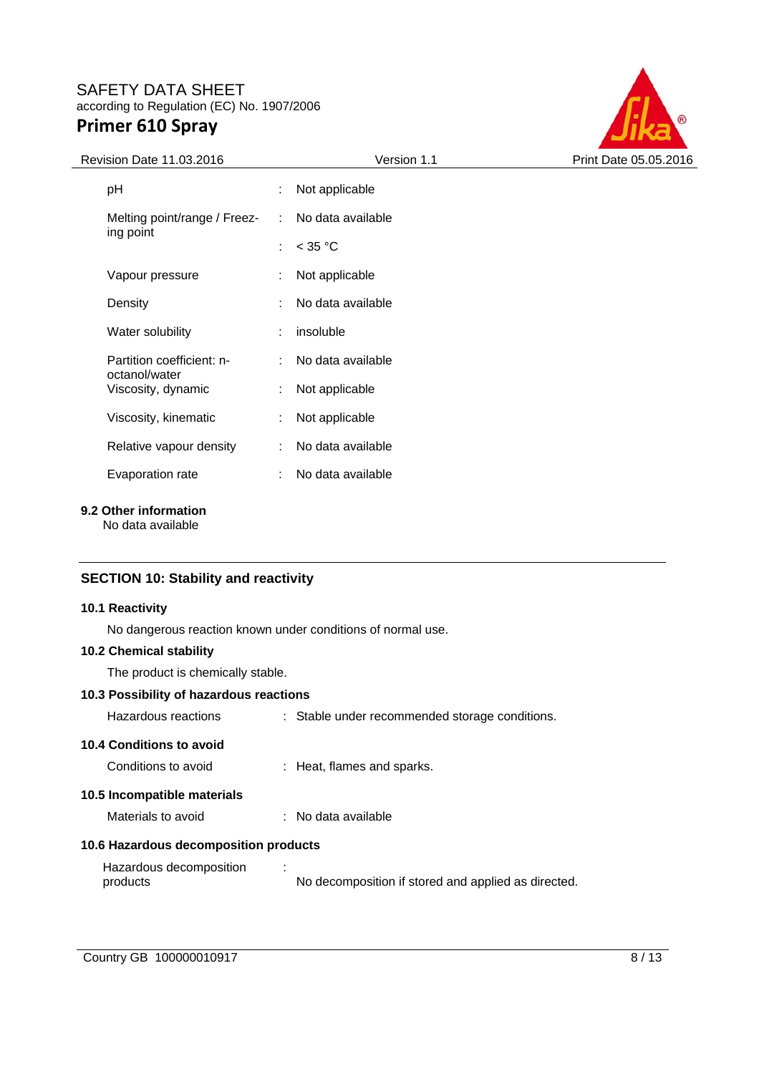

| Revision Date 11.03.2016                   |   | Version 1.1         | Print Date 05.05.2016 |
|--------------------------------------------|---|---------------------|-----------------------|
| рH                                         |   | Not applicable      |                       |
| Melting point/range / Freez-               |   | : No data available |                       |
| ing point                                  | ÷ | $<$ 35 °C           |                       |
| Vapour pressure                            |   | Not applicable      |                       |
| Density                                    |   | No data available   |                       |
| Water solubility                           |   | insoluble           |                       |
| Partition coefficient: n-<br>octanol/water |   | No data available   |                       |
| Viscosity, dynamic                         |   | Not applicable      |                       |
| Viscosity, kinematic                       | ÷ | Not applicable      |                       |
| Relative vapour density                    | ÷ | No data available   |                       |
| Evaporation rate                           |   | No data available   |                       |
|                                            |   |                     |                       |

**9.2 Other information** 

No data available

### **SECTION 10: Stability and reactivity**

#### **10.1 Reactivity**

No dangerous reaction known under conditions of normal use.

#### **10.2 Chemical stability**

The product is chemically stable.

### **10.3 Possibility of hazardous reactions**

| Hazardous reactions                               | : Stable under recommended storage conditions.      |
|---------------------------------------------------|-----------------------------------------------------|
| 10.4 Conditions to avoid<br>Conditions to avoid   | : Heat, flames and sparks.                          |
| 10.5 Incompatible materials<br>Materials to avoid | : No data available                                 |
| 10.6 Hazardous decomposition products             |                                                     |
| Hazardous decomposition<br>products               | No decomposition if stored and applied as directed. |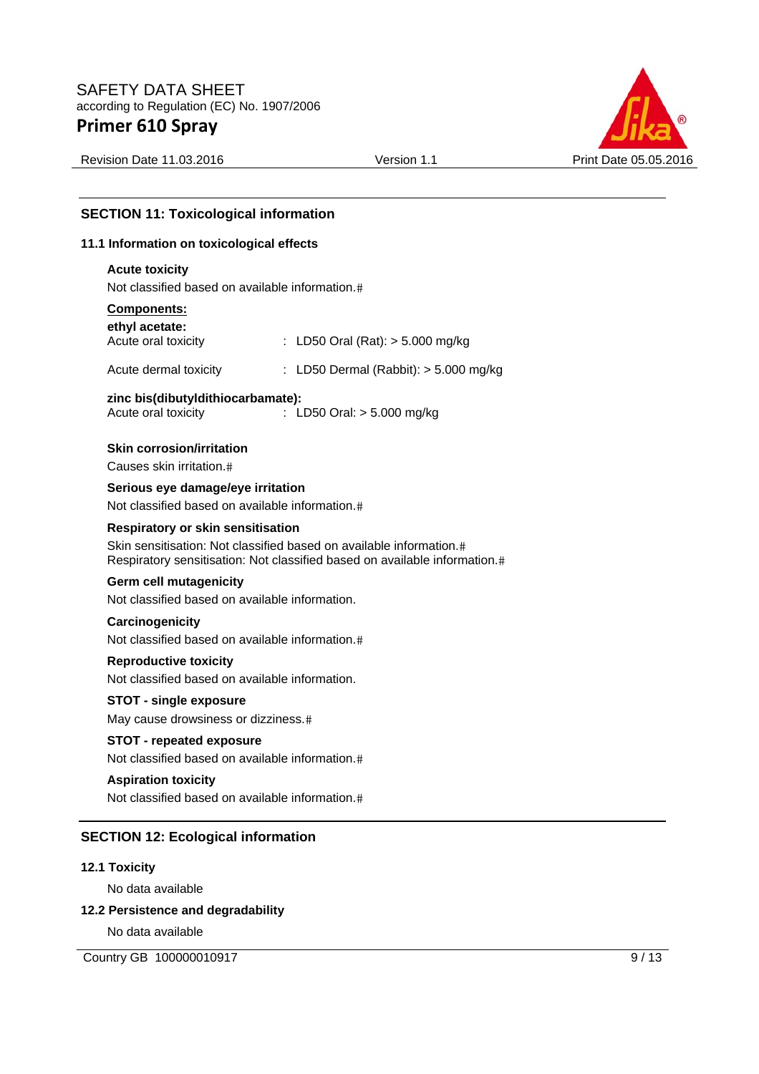

Revision Date 11.03.2016 **Version 1.1** Version 1.1 Print Date 05.05.2016

# **SECTION 11: Toxicological information**

#### **11.1 Information on toxicological effects**

#### **Acute toxicity**

Not classified based on available information.

### **Components:**

| ethyl acetate:                                           |                                                                                                                                                   |
|----------------------------------------------------------|---------------------------------------------------------------------------------------------------------------------------------------------------|
| Acute oral toxicity                                      | : LD50 Oral (Rat): $>$ 5.000 mg/kg                                                                                                                |
| Acute dermal toxicity                                    | : LD50 Dermal (Rabbit): $>$ 5.000 mg/kg                                                                                                           |
| zinc bis(dibutyldithiocarbamate):<br>Acute oral toxicity | : LD50 Oral: $> 5.000$ mg/kg                                                                                                                      |
| <b>Skin corrosion/irritation</b>                         |                                                                                                                                                   |
| Causes skin irritation.#                                 |                                                                                                                                                   |
| Serious eye damage/eye irritation                        |                                                                                                                                                   |
| Not classified based on available information.#          |                                                                                                                                                   |
| Respiratory or skin sensitisation                        |                                                                                                                                                   |
|                                                          | Skin sensitisation: Not classified based on available information.#<br>Respiratory sensitisation: Not classified based on available information.# |
| Germ cell mutagenicity                                   |                                                                                                                                                   |
| Not classified based on available information.           |                                                                                                                                                   |
| Carcinogenicity                                          |                                                                                                                                                   |
| Not classified based on available information.#          |                                                                                                                                                   |
| <b>Reproductive toxicity</b>                             |                                                                                                                                                   |
| Not classified based on available information.           |                                                                                                                                                   |
| <b>STOT - single exposure</b>                            |                                                                                                                                                   |
| May cause drowsiness or dizziness.#                      |                                                                                                                                                   |

#### **STOT - repeated exposure**

Not classified based on available information.

### **Aspiration toxicity**

Not classified based on available information.

#### **SECTION 12: Ecological information**

### **12.1 Toxicity**

No data available

#### **12.2 Persistence and degradability**

No data available

Country GB 100000010917 9/13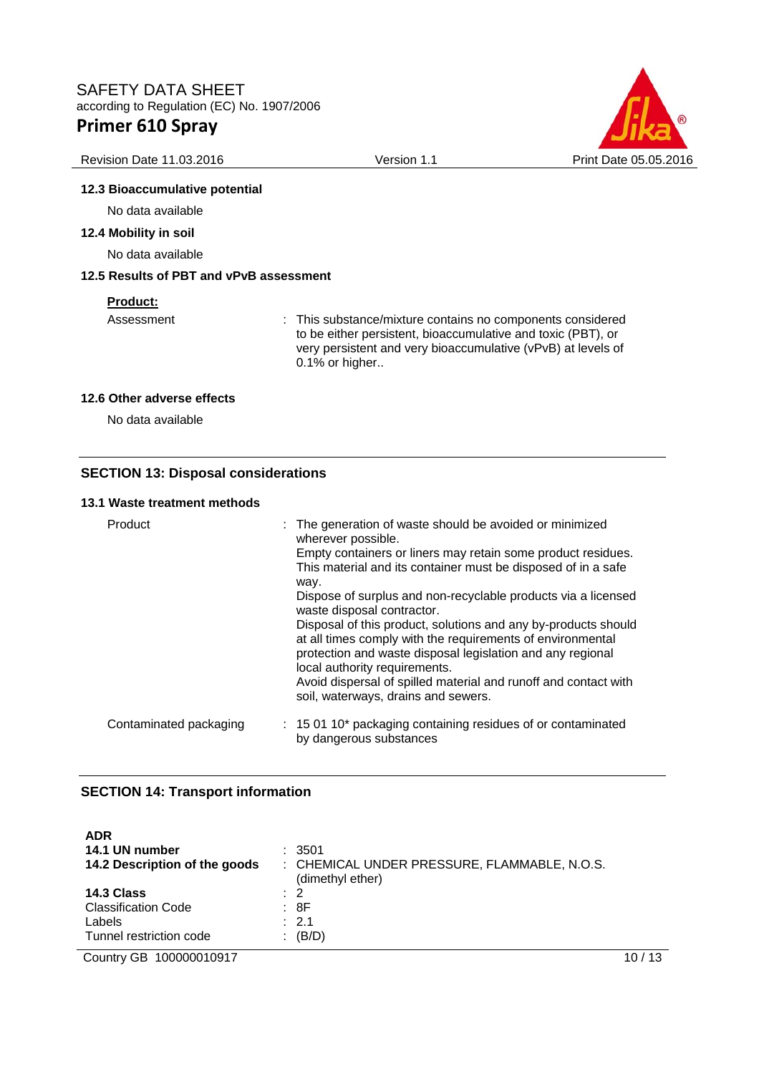

#### Revision Date 11.03.2016 **Version 1.1** Version 1.1 Print Date 05.05.2016

### **12.3 Bioaccumulative potential**

No data available

### **12.4 Mobility in soil**

No data available

### **12.5 Results of PBT and vPvB assessment**

### **Product:**

Assessment : This substance/mixture contains no components considered to be either persistent, bioaccumulative and toxic (PBT), or very persistent and very bioaccumulative (vPvB) at levels of 0.1% or higher..

#### **12.6 Other adverse effects**

No data available

### **SECTION 13: Disposal considerations**

#### **13.1 Waste treatment methods**

| Product                | : The generation of waste should be avoided or minimized<br>wherever possible.<br>Empty containers or liners may retain some product residues.<br>This material and its container must be disposed of in a safe<br>way.<br>Dispose of surplus and non-recyclable products via a licensed<br>waste disposal contractor.<br>Disposal of this product, solutions and any by-products should<br>at all times comply with the requirements of environmental<br>protection and waste disposal legislation and any regional<br>local authority requirements.<br>Avoid dispersal of spilled material and runoff and contact with<br>soil, waterways, drains and sewers. |
|------------------------|-----------------------------------------------------------------------------------------------------------------------------------------------------------------------------------------------------------------------------------------------------------------------------------------------------------------------------------------------------------------------------------------------------------------------------------------------------------------------------------------------------------------------------------------------------------------------------------------------------------------------------------------------------------------|
| Contaminated packaging | : 15 01 10* packaging containing residues of or contaminated<br>by dangerous substances                                                                                                                                                                                                                                                                                                                                                                                                                                                                                                                                                                         |

#### **SECTION 14: Transport information**

| <b>ADR</b>                    | : 3501                                       |
|-------------------------------|----------------------------------------------|
| 14.1 UN number                | : CHEMICAL UNDER PRESSURE, FLAMMABLE, N.O.S. |
| 14.2 Description of the goods | (dimethyl ether)                             |
| 14.3 Class                    | $\therefore$ 2                               |
| <b>Classification Code</b>    | : 8F                                         |
| Labels                        | $\therefore$ 2.1                             |
| Tunnel restriction code       | $\colon$ (B/D)                               |

Country GB 100000010917 10 / 13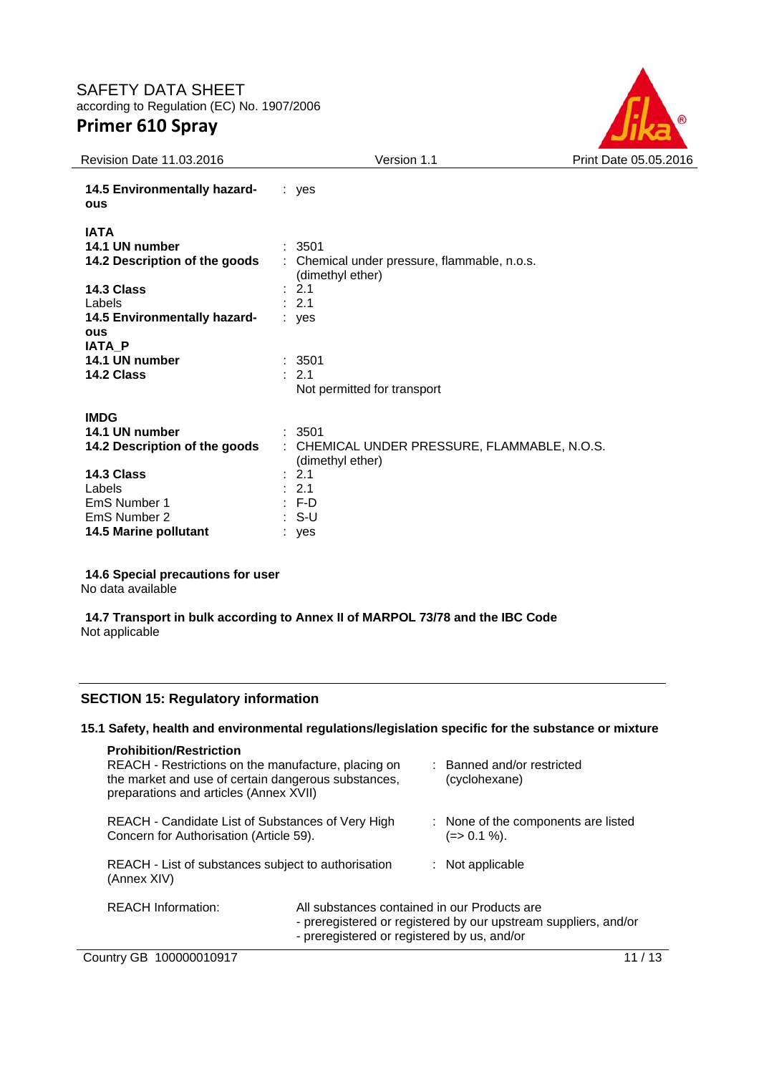# SAFETY DATA SHEET according to Regulation (EC) No. 1907/2006

# **Primer 610 Spray**



| <b>Revision Date 11.03.2016</b>                                                        | Version 1.1                                                                                  | Print Date 05.05.2016 |
|----------------------------------------------------------------------------------------|----------------------------------------------------------------------------------------------|-----------------------|
| 14.5 Environmentally hazard-<br><b>ous</b>                                             | $:$ yes                                                                                      |                       |
| <b>IATA</b><br>14.1 UN number<br>14.2 Description of the goods<br>14.3 Class<br>Labels | : 3501<br>: Chemical under pressure, flammable, n.o.s.<br>(dimethyl ether)<br>: 2.1<br>: 2.1 |                       |
| 14.5 Environmentally hazard-                                                           | $:$ ves                                                                                      |                       |
| <b>OUS</b><br><b>IATA P</b><br>14.1 UN number<br>14.2 Class                            | : 3501<br>: 2.1                                                                              |                       |
|                                                                                        | Not permitted for transport                                                                  |                       |
| <b>IMDG</b><br>14.1 UN number<br>14.2 Description of the goods                         | : 3501<br>: CHEMICAL UNDER PRESSURE, FLAMMABLE, N.O.S.<br>(dimethyl ether)                   |                       |
| 14.3 Class<br>Labels<br>EmS Number 1<br>EmS Number 2<br><b>14.5 Marine pollutant</b>   | : 2.1<br>: 2.1<br>$: F-D$<br>$: S-U$<br>: yes                                                |                       |

#### **14.6 Special precautions for user**

No data available

#### **14.7 Transport in bulk according to Annex II of MARPOL 73/78 and the IBC Code**  Not applicable

### **SECTION 15: Regulatory information**

#### **15.1 Safety, health and environmental regulations/legislation specific for the substance or mixture**

| <b>Prohibition/Restriction</b><br>REACH - Restrictions on the manufacture, placing on<br>the market and use of certain dangerous substances,<br>preparations and articles (Annex XVII) |                                                                                                                                                                |  | : Banned and/or restricted<br>(cyclohexane)        |
|----------------------------------------------------------------------------------------------------------------------------------------------------------------------------------------|----------------------------------------------------------------------------------------------------------------------------------------------------------------|--|----------------------------------------------------|
| REACH - Candidate List of Substances of Very High<br>Concern for Authorisation (Article 59).                                                                                           |                                                                                                                                                                |  | : None of the components are listed<br>(=> 0.1 %). |
| REACH - List of substances subject to authorisation<br>(Annex XIV)                                                                                                                     |                                                                                                                                                                |  | $:$ Not applicable                                 |
| <b>REACH Information:</b>                                                                                                                                                              | All substances contained in our Products are<br>- preregistered or registered by our upstream suppliers, and/or<br>- preregistered or registered by us, and/or |  |                                                    |

Country GB 100000010917 11/13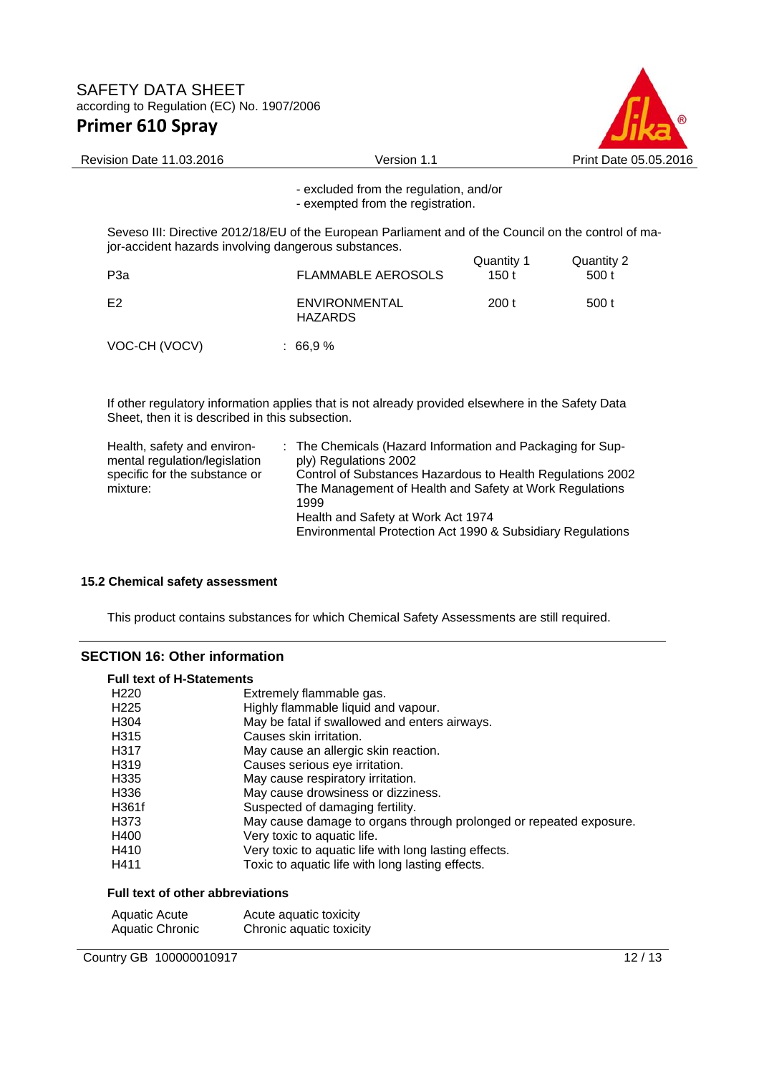

# Revision Date 11.03.2016 <br>
Version 1.1 Print Date 05.05.2016 - excluded from the regulation, and/or - exempted from the registration. Seveso III: Directive 2012/18/EU of the European Parliament and of the Council on the control of major-accident hazards involving dangerous substances. Quantity 1 Quantity 2<br>
FLAMMABLE AEROSOLS 150 t 500 t FLAMMABLE AEROSOLS 150 t E2 ENVIRONMENTAL HAZARDS 200 t 500 t VOC-CH (VOCV) : 66,9 %

If other regulatory information applies that is not already provided elsewhere in the Safety Data Sheet, then it is described in this subsection.

| Health, safety and environ-   | : The Chemicals (Hazard Information and Packaging for Sup- |
|-------------------------------|------------------------------------------------------------|
| mental regulation/legislation | ply) Regulations 2002                                      |
| specific for the substance or | Control of Substances Hazardous to Health Regulations 2002 |
| mixture:                      | The Management of Health and Safety at Work Regulations    |
|                               | 1999                                                       |
|                               | Health and Safety at Work Act 1974                         |
|                               | Environmental Protection Act 1990 & Subsidiary Regulations |

#### **15.2 Chemical safety assessment**

This product contains substances for which Chemical Safety Assessments are still required.

#### **SECTION 16: Other information**

| <b>Full text of H-Statements</b> |                                                                    |  |
|----------------------------------|--------------------------------------------------------------------|--|
| H <sub>220</sub>                 | Extremely flammable gas.                                           |  |
| H <sub>225</sub>                 | Highly flammable liquid and vapour.                                |  |
| H <sub>304</sub>                 | May be fatal if swallowed and enters airways.                      |  |
| H <sub>315</sub>                 | Causes skin irritation.                                            |  |
| H <sub>3</sub> 17                | May cause an allergic skin reaction.                               |  |
| H <sub>319</sub>                 | Causes serious eye irritation.                                     |  |
| H <sub>335</sub>                 | May cause respiratory irritation.                                  |  |
| H336                             | May cause drowsiness or dizziness.                                 |  |
| H361f                            | Suspected of damaging fertility.                                   |  |
| H <sub>3</sub> 73                | May cause damage to organs through prolonged or repeated exposure. |  |
| H400                             | Very toxic to aquatic life.                                        |  |
| H410                             | Very toxic to aquatic life with long lasting effects.              |  |
| H411                             | Toxic to aquatic life with long lasting effects.                   |  |

#### **Full text of other abbreviations**

| Aquatic Acute          | Acute aquatic toxicity   |
|------------------------|--------------------------|
| <b>Aquatic Chronic</b> | Chronic aquatic toxicity |

Country GB 100000010917 12/13